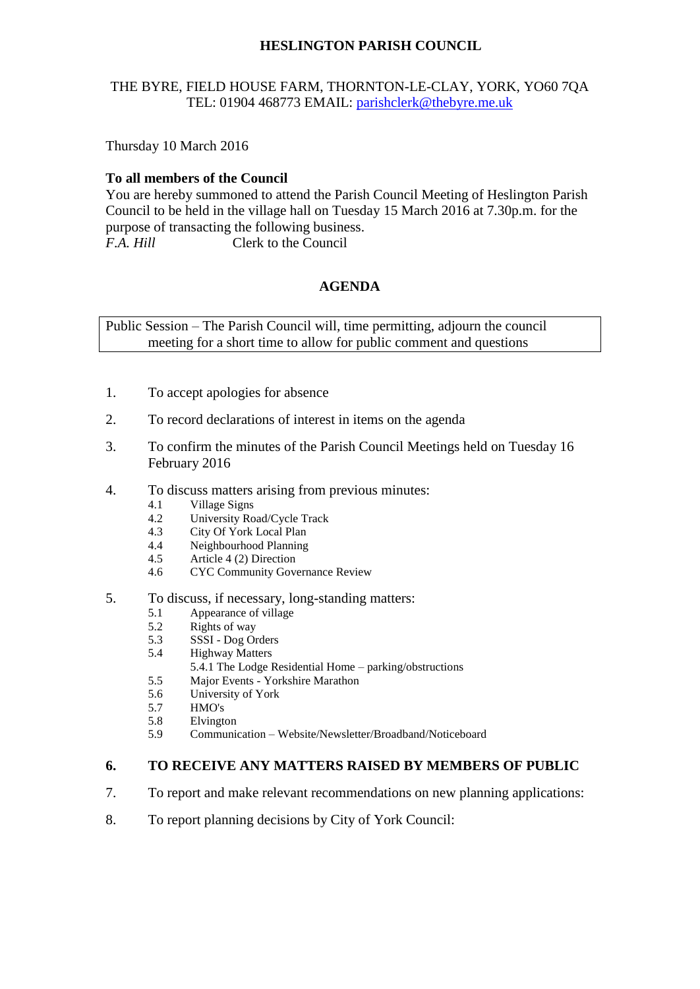# **HESLINGTON PARISH COUNCIL**

# THE BYRE, FIELD HOUSE FARM, THORNTON-LE-CLAY, YORK, YO60 7QA TEL: 01904 468773 EMAIL: [parishclerk@thebyre.me.uk](mailto:parishclerk@thebyre.me.uk)

Thursday 10 March 2016

# **To all members of the Council**

You are hereby summoned to attend the Parish Council Meeting of Heslington Parish Council to be held in the village hall on Tuesday 15 March 2016 at 7.30p.m. for the purpose of transacting the following business. *F.A. Hill* Clerk to the Council

# **AGENDA**

Public Session – The Parish Council will, time permitting, adjourn the council meeting for a short time to allow for public comment and questions

- 1. To accept apologies for absence
- 2. To record declarations of interest in items on the agenda
- 3. To confirm the minutes of the Parish Council Meetings held on Tuesday 16 February 2016
- 4. To discuss matters arising from previous minutes:
	- 4.1 Village Signs
	- 4.2 University Road/Cycle Track
	- 4.3 City Of York Local Plan<br>4.4 Neighbourhood Planning
	- 4.4 Neighbourhood Planning<br>4.5 Article 4 (2) Direction
	- Article 4 (2) Direction
	- 4.6 CYC Community Governance Review
- 5. To discuss, if necessary, long-standing matters:
	- 5.1 Appearance of village
	- 5.2 Rights of way
	- 5.3 SSSI Dog Orders
	- 5.4 Highway Matters
		- 5.4.1 The Lodge Residential Home parking/obstructions
	- 5.5 Major Events Yorkshire Marathon
	- 5.6 University of York
	- 5.7 HMO's
	- 5.8 Elvington
	- 5.9 Communication Website/Newsletter/Broadband/Noticeboard

#### **6. TO RECEIVE ANY MATTERS RAISED BY MEMBERS OF PUBLIC**

- 7. To report and make relevant recommendations on new planning applications:
- 8. To report planning decisions by City of York Council: